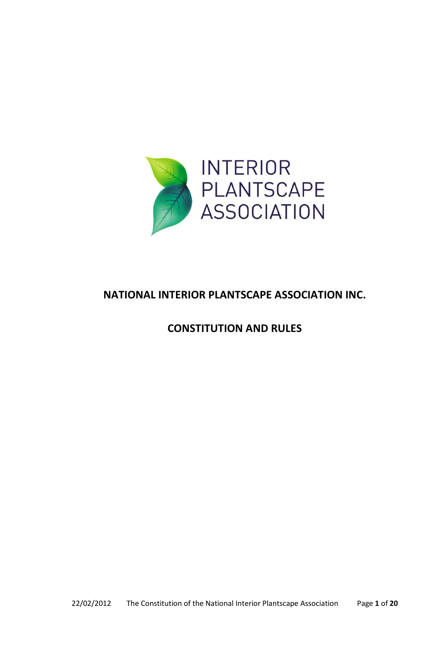

# **NATIONAL INTERIOR PLANTSCAPE ASSOCIATION INC.**

## **CONSTITUTION AND RULES**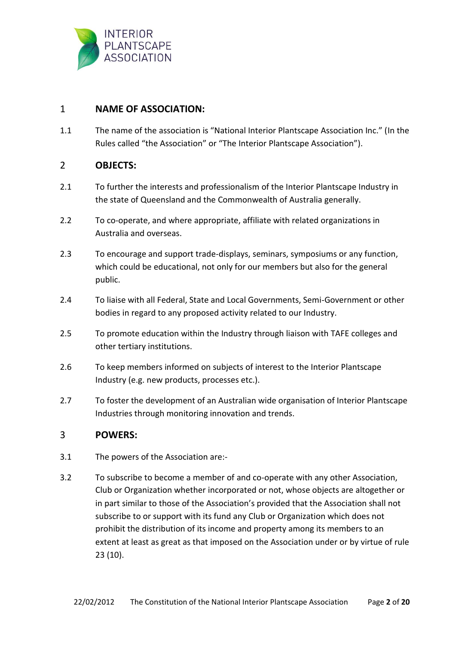

## 1 **NAME OF ASSOCIATION:**

1.1 The name of the association is "National Interior Plantscape Association Inc." (In the Rules called "the Association" or "The Interior Plantscape Association").

## 2 **OBJECTS:**

- 2.1 To further the interests and professionalism of the Interior Plantscape Industry in the state of Queensland and the Commonwealth of Australia generally.
- 2.2 To co-operate, and where appropriate, affiliate with related organizations in Australia and overseas.
- 2.3 To encourage and support trade-displays, seminars, symposiums or any function, which could be educational, not only for our members but also for the general public.
- 2.4 To liaise with all Federal, State and Local Governments, Semi-Government or other bodies in regard to any proposed activity related to our Industry.
- 2.5 To promote education within the Industry through liaison with TAFE colleges and other tertiary institutions.
- 2.6 To keep members informed on subjects of interest to the Interior Plantscape Industry (e.g. new products, processes etc.).
- 2.7 To foster the development of an Australian wide organisation of Interior Plantscape Industries through monitoring innovation and trends.

#### 3 **POWERS:**

- 3.1 The powers of the Association are:-
- 3.2 To subscribe to become a member of and co-operate with any other Association, Club or Organization whether incorporated or not, whose objects are altogether or in part similar to those of the Association's provided that the Association shall not subscribe to or support with its fund any Club or Organization which does not prohibit the distribution of its income and property among its members to an extent at least as great as that imposed on the Association under or by virtue of rule 23 (10).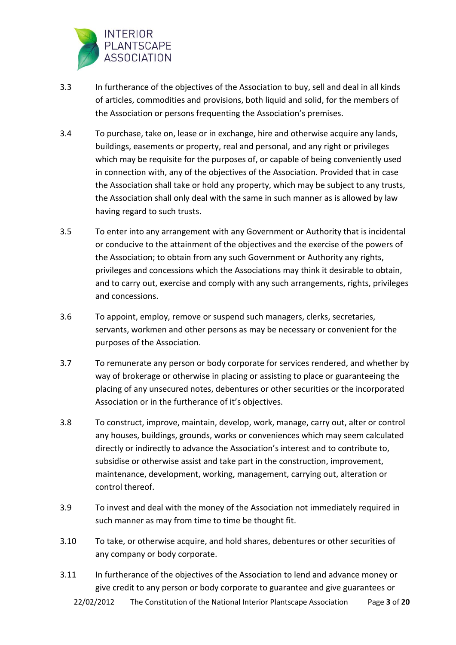

- 3.3 In furtherance of the objectives of the Association to buy, sell and deal in all kinds of articles, commodities and provisions, both liquid and solid, for the members of the Association or persons frequenting the Association's premises.
- 3.4 To purchase, take on, lease or in exchange, hire and otherwise acquire any lands, buildings, easements or property, real and personal, and any right or privileges which may be requisite for the purposes of, or capable of being conveniently used in connection with, any of the objectives of the Association. Provided that in case the Association shall take or hold any property, which may be subject to any trusts, the Association shall only deal with the same in such manner as is allowed by law having regard to such trusts.
- 3.5 To enter into any arrangement with any Government or Authority that is incidental or conducive to the attainment of the objectives and the exercise of the powers of the Association; to obtain from any such Government or Authority any rights, privileges and concessions which the Associations may think it desirable to obtain, and to carry out, exercise and comply with any such arrangements, rights, privileges and concessions.
- 3.6 To appoint, employ, remove or suspend such managers, clerks, secretaries, servants, workmen and other persons as may be necessary or convenient for the purposes of the Association.
- 3.7 To remunerate any person or body corporate for services rendered, and whether by way of brokerage or otherwise in placing or assisting to place or guaranteeing the placing of any unsecured notes, debentures or other securities or the incorporated Association or in the furtherance of it's objectives.
- 3.8 To construct, improve, maintain, develop, work, manage, carry out, alter or control any houses, buildings, grounds, works or conveniences which may seem calculated directly or indirectly to advance the Association's interest and to contribute to, subsidise or otherwise assist and take part in the construction, improvement, maintenance, development, working, management, carrying out, alteration or control thereof.
- 3.9 To invest and deal with the money of the Association not immediately required in such manner as may from time to time be thought fit.
- 3.10 To take, or otherwise acquire, and hold shares, debentures or other securities of any company or body corporate.
- 3.11 In furtherance of the objectives of the Association to lend and advance money or give credit to any person or body corporate to guarantee and give guarantees or

22/02/2012 The Constitution of the National Interior Plantscape Association Page **3** of **20**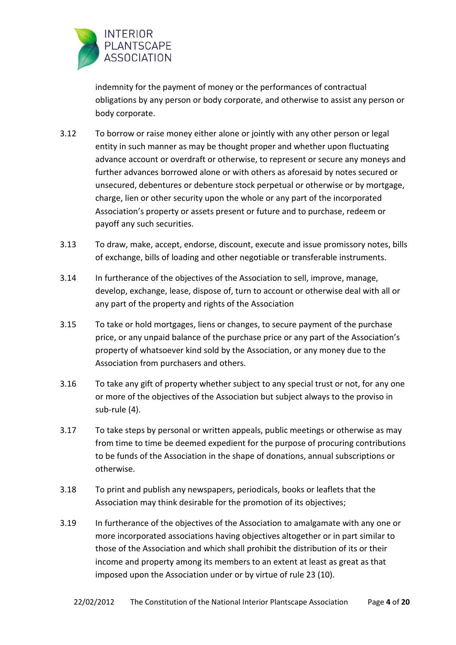

indemnity for the payment of money or the performances of contractual obligations by any person or body corporate, and otherwise to assist any person or body corporate.

- 3.12 To borrow or raise money either alone or jointly with any other person or legal entity in such manner as may be thought proper and whether upon fluctuating advance account or overdraft or otherwise, to represent or secure any moneys and further advances borrowed alone or with others as aforesaid by notes secured or unsecured, debentures or debenture stock perpetual or otherwise or by mortgage, charge, lien or other security upon the whole or any part of the incorporated Association's property or assets present or future and to purchase, redeem or payoff any such securities.
- 3.13 To draw, make, accept, endorse, discount, execute and issue promissory notes, bills of exchange, bills of loading and other negotiable or transferable instruments.
- 3.14 In furtherance of the objectives of the Association to sell, improve, manage, develop, exchange, lease, dispose of, turn to account or otherwise deal with all or any part of the property and rights of the Association
- 3.15 To take or hold mortgages, liens or changes, to secure payment of the purchase price, or any unpaid balance of the purchase price or any part of the Association's property of whatsoever kind sold by the Association, or any money due to the Association from purchasers and others.
- 3.16 To take any gift of property whether subject to any special trust or not, for any one or more of the objectives of the Association but subject always to the proviso in sub-rule (4).
- 3.17 To take steps by personal or written appeals, public meetings or otherwise as may from time to time be deemed expedient for the purpose of procuring contributions to be funds of the Association in the shape of donations, annual subscriptions or otherwise.
- 3.18 To print and publish any newspapers, periodicals, books or leaflets that the Association may think desirable for the promotion of its objectives;
- 3.19 In furtherance of the objectives of the Association to amalgamate with any one or more incorporated associations having objectives altogether or in part similar to those of the Association and which shall prohibit the distribution of its or their income and property among its members to an extent at least as great as that imposed upon the Association under or by virtue of rule 23 (10).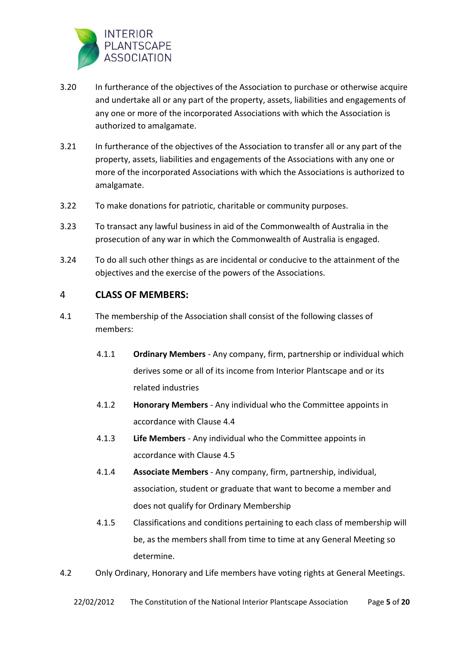

- 3.20 In furtherance of the objectives of the Association to purchase or otherwise acquire and undertake all or any part of the property, assets, liabilities and engagements of any one or more of the incorporated Associations with which the Association is authorized to amalgamate.
- 3.21 In furtherance of the objectives of the Association to transfer all or any part of the property, assets, liabilities and engagements of the Associations with any one or more of the incorporated Associations with which the Associations is authorized to amalgamate.
- 3.22 To make donations for patriotic, charitable or community purposes.
- 3.23 To transact any lawful business in aid of the Commonwealth of Australia in the prosecution of any war in which the Commonwealth of Australia is engaged.
- 3.24 To do all such other things as are incidental or conducive to the attainment of the objectives and the exercise of the powers of the Associations.

## 4 **CLASS OF MEMBERS:**

- 4.1 The membership of the Association shall consist of the following classes of members:
	- 4.1.1 **Ordinary Members** Any company, firm, partnership or individual which derives some or all of its income from Interior Plantscape and or its related industries
	- 4.1.2 **Honorary Members** Any individual who the Committee appoints in accordance with Clause 4.4
	- 4.1.3 **Life Members** Any individual who the Committee appoints in accordance with Clause 4.5
	- 4.1.4 **Associate Members** Any company, firm, partnership, individual, association, student or graduate that want to become a member and does not qualify for Ordinary Membership
	- 4.1.5 Classifications and conditions pertaining to each class of membership will be, as the members shall from time to time at any General Meeting so determine.
- 4.2 Only Ordinary, Honorary and Life members have voting rights at General Meetings.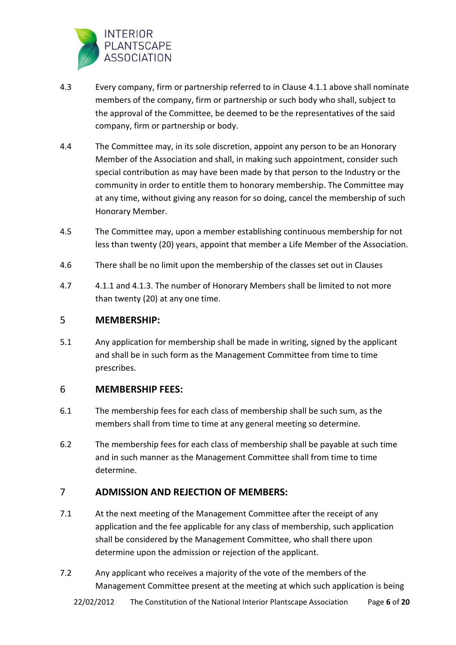

- 4.3 Every company, firm or partnership referred to in Clause 4.1.1 above shall nominate members of the company, firm or partnership or such body who shall, subject to the approval of the Committee, be deemed to be the representatives of the said company, firm or partnership or body.
- 4.4 The Committee may, in its sole discretion, appoint any person to be an Honorary Member of the Association and shall, in making such appointment, consider such special contribution as may have been made by that person to the Industry or the community in order to entitle them to honorary membership. The Committee may at any time, without giving any reason for so doing, cancel the membership of such Honorary Member.
- 4.5 The Committee may, upon a member establishing continuous membership for not less than twenty (20) years, appoint that member a Life Member of the Association.
- 4.6 There shall be no limit upon the membership of the classes set out in Clauses
- 4.7 4.1.1 and 4.1.3. The number of Honorary Members shall be limited to not more than twenty (20) at any one time.

## 5 **MEMBERSHIP:**

5.1 Any application for membership shall be made in writing, signed by the applicant and shall be in such form as the Management Committee from time to time prescribes.

## 6 **MEMBERSHIP FEES:**

- 6.1 The membership fees for each class of membership shall be such sum, as the members shall from time to time at any general meeting so determine.
- 6.2 The membership fees for each class of membership shall be payable at such time and in such manner as the Management Committee shall from time to time determine.

## 7 **ADMISSION AND REJECTION OF MEMBERS:**

- 7.1 At the next meeting of the Management Committee after the receipt of any application and the fee applicable for any class of membership, such application shall be considered by the Management Committee, who shall there upon determine upon the admission or rejection of the applicant.
- 7.2 Any applicant who receives a majority of the vote of the members of the Management Committee present at the meeting at which such application is being

22/02/2012 The Constitution of the National Interior Plantscape Association Page **6** of **20**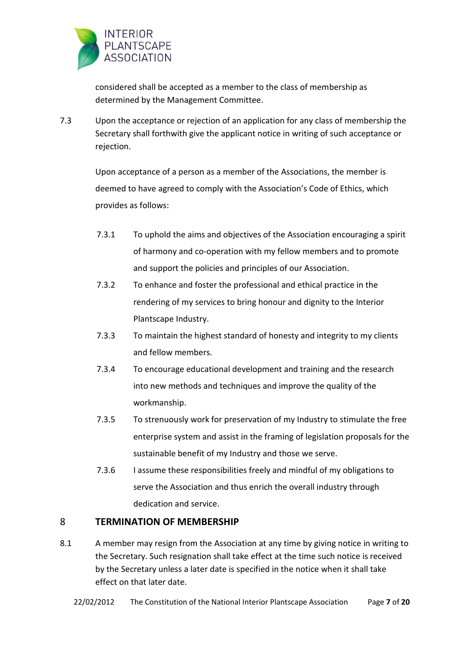

considered shall be accepted as a member to the class of membership as determined by the Management Committee.

7.3 Upon the acceptance or rejection of an application for any class of membership the Secretary shall forthwith give the applicant notice in writing of such acceptance or rejection.

> Upon acceptance of a person as a member of the Associations, the member is deemed to have agreed to comply with the Association's Code of Ethics, which provides as follows:

- 7.3.1 To uphold the aims and objectives of the Association encouraging a spirit of harmony and co-operation with my fellow members and to promote and support the policies and principles of our Association.
- 7.3.2 To enhance and foster the professional and ethical practice in the rendering of my services to bring honour and dignity to the Interior Plantscape Industry.
- 7.3.3 To maintain the highest standard of honesty and integrity to my clients and fellow members.
- 7.3.4 To encourage educational development and training and the research into new methods and techniques and improve the quality of the workmanship.
- 7.3.5 To strenuously work for preservation of my Industry to stimulate the free enterprise system and assist in the framing of legislation proposals for the sustainable benefit of my Industry and those we serve.
- 7.3.6 I assume these responsibilities freely and mindful of my obligations to serve the Association and thus enrich the overall industry through dedication and service.

## 8 **TERMINATION OF MEMBERSHIP**

8.1 A member may resign from the Association at any time by giving notice in writing to the Secretary. Such resignation shall take effect at the time such notice is received by the Secretary unless a later date is specified in the notice when it shall take effect on that later date.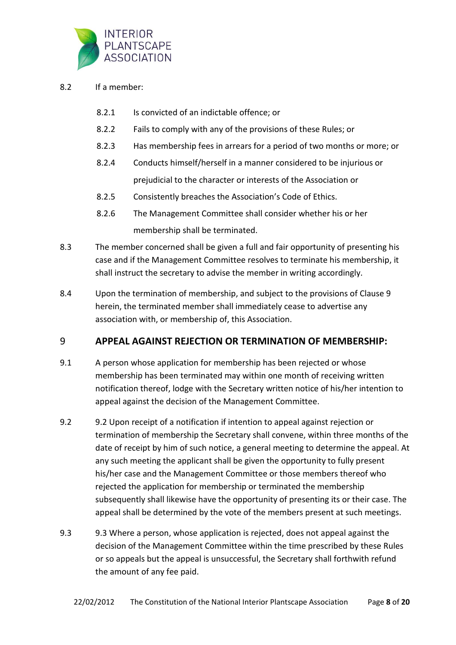

- 8.2 If a member:
	- 8.2.1 Is convicted of an indictable offence; or
	- 8.2.2 Fails to comply with any of the provisions of these Rules; or
	- 8.2.3 Has membership fees in arrears for a period of two months or more; or
	- 8.2.4 Conducts himself/herself in a manner considered to be injurious or prejudicial to the character or interests of the Association or
	- 8.2.5 Consistently breaches the Association's Code of Ethics.
	- 8.2.6 The Management Committee shall consider whether his or her membership shall be terminated.
- 8.3 The member concerned shall be given a full and fair opportunity of presenting his case and if the Management Committee resolves to terminate his membership, it shall instruct the secretary to advise the member in writing accordingly.
- 8.4 Upon the termination of membership, and subject to the provisions of Clause 9 herein, the terminated member shall immediately cease to advertise any association with, or membership of, this Association.

#### 9 **APPEAL AGAINST REJECTION OR TERMINATION OF MEMBERSHIP:**

- 9.1 A person whose application for membership has been rejected or whose membership has been terminated may within one month of receiving written notification thereof, lodge with the Secretary written notice of his/her intention to appeal against the decision of the Management Committee.
- 9.2 9.2 Upon receipt of a notification if intention to appeal against rejection or termination of membership the Secretary shall convene, within three months of the date of receipt by him of such notice, a general meeting to determine the appeal. At any such meeting the applicant shall be given the opportunity to fully present his/her case and the Management Committee or those members thereof who rejected the application for membership or terminated the membership subsequently shall likewise have the opportunity of presenting its or their case. The appeal shall be determined by the vote of the members present at such meetings.
- 9.3 9.3 Where a person, whose application is rejected, does not appeal against the decision of the Management Committee within the time prescribed by these Rules or so appeals but the appeal is unsuccessful, the Secretary shall forthwith refund the amount of any fee paid.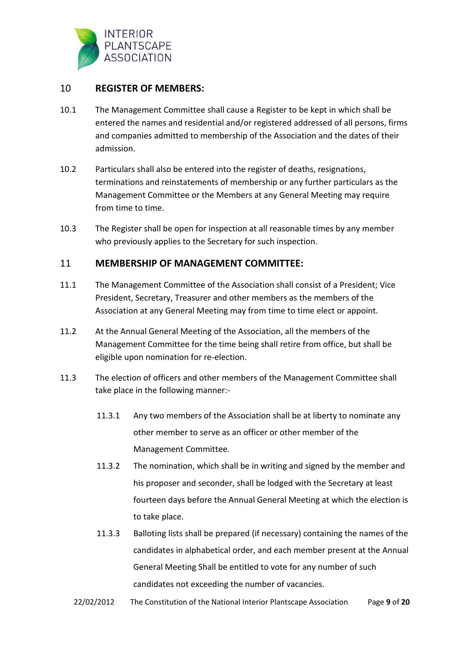

## 10 **REGISTER OF MEMBERS:**

- 10.1 The Management Committee shall cause a Register to be kept in which shall be entered the names and residential and/or registered addressed of all persons, firms and companies admitted to membership of the Association and the dates of their admission.
- 10.2 Particulars shall also be entered into the register of deaths, resignations, terminations and reinstatements of membership or any further particulars as the Management Committee or the Members at any General Meeting may require from time to time.
- 10.3 The Register shall be open for inspection at all reasonable times by any member who previously applies to the Secretary for such inspection.

## 11 **MEMBERSHIP OF MANAGEMENT COMMITTEE:**

- 11.1 The Management Committee of the Association shall consist of a President; Vice President, Secretary, Treasurer and other members as the members of the Association at any General Meeting may from time to time elect or appoint.
- 11.2 At the Annual General Meeting of the Association, all the members of the Management Committee for the time being shall retire from office, but shall be eligible upon nomination for re-election.
- 11.3 The election of officers and other members of the Management Committee shall take place in the following manner:-
	- 11.3.1 Any two members of the Association shall be at liberty to nominate any other member to serve as an officer or other member of the Management Committee.
	- 11.3.2 The nomination, which shall be in writing and signed by the member and his proposer and seconder, shall be lodged with the Secretary at least fourteen days before the Annual General Meeting at which the election is to take place.
	- 11.3.3 Balloting lists shall be prepared (if necessary) containing the names of the candidates in alphabetical order, and each member present at the Annual General Meeting Shall be entitled to vote for any number of such candidates not exceeding the number of vacancies.
	- 22/02/2012 The Constitution of the National Interior Plantscape Association Page **9** of **20**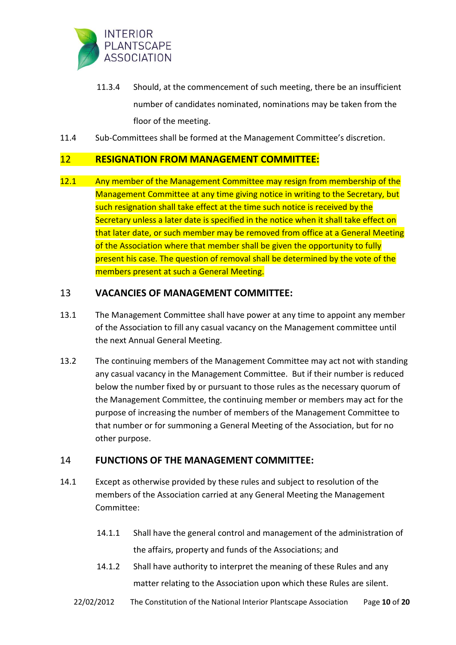

- 11.3.4 Should, at the commencement of such meeting, there be an insufficient number of candidates nominated, nominations may be taken from the floor of the meeting.
- 11.4 Sub-Committees shall be formed at the Management Committee's discretion.

#### 12 **RESIGNATION FROM MANAGEMENT COMMITTEE:**

12.1 Any member of the Management Committee may resign from membership of the Management Committee at any time giving notice in writing to the Secretary, but such resignation shall take effect at the time such notice is received by the Secretary unless a later date is specified in the notice when it shall take effect on that later date, or such member may be removed from office at a General Meeting of the Association where that member shall be given the opportunity to fully present his case. The question of removal shall be determined by the vote of the members present at such a General Meeting.

## 13 **VACANCIES OF MANAGEMENT COMMITTEE:**

- 13.1 The Management Committee shall have power at any time to appoint any member of the Association to fill any casual vacancy on the Management committee until the next Annual General Meeting.
- 13.2 The continuing members of the Management Committee may act not with standing any casual vacancy in the Management Committee. But if their number is reduced below the number fixed by or pursuant to those rules as the necessary quorum of the Management Committee, the continuing member or members may act for the purpose of increasing the number of members of the Management Committee to that number or for summoning a General Meeting of the Association, but for no other purpose.

#### 14 **FUNCTIONS OF THE MANAGEMENT COMMITTEE:**

- 14.1 Except as otherwise provided by these rules and subject to resolution of the members of the Association carried at any General Meeting the Management Committee:
	- 14.1.1 Shall have the general control and management of the administration of the affairs, property and funds of the Associations; and
	- 14.1.2 Shall have authority to interpret the meaning of these Rules and any matter relating to the Association upon which these Rules are silent.
	- 22/02/2012 The Constitution of the National Interior Plantscape Association Page **10** of **20**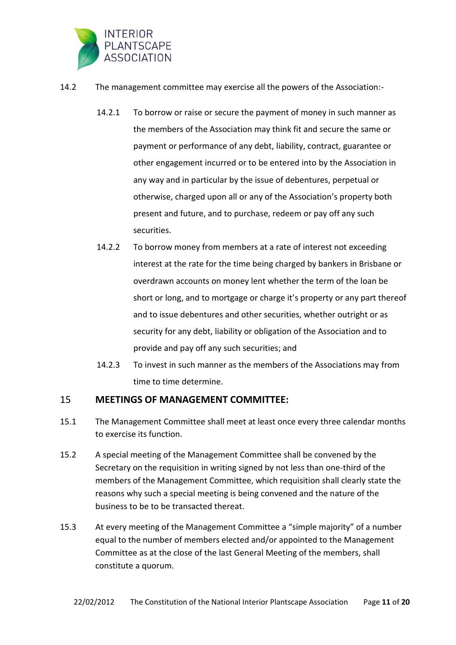

- 14.2 The management committee may exercise all the powers of the Association:-
	- 14.2.1 To borrow or raise or secure the payment of money in such manner as the members of the Association may think fit and secure the same or payment or performance of any debt, liability, contract, guarantee or other engagement incurred or to be entered into by the Association in any way and in particular by the issue of debentures, perpetual or otherwise, charged upon all or any of the Association's property both present and future, and to purchase, redeem or pay off any such securities.
	- 14.2.2 To borrow money from members at a rate of interest not exceeding interest at the rate for the time being charged by bankers in Brisbane or overdrawn accounts on money lent whether the term of the loan be short or long, and to mortgage or charge it's property or any part thereof and to issue debentures and other securities, whether outright or as security for any debt, liability or obligation of the Association and to provide and pay off any such securities; and
	- 14.2.3 To invest in such manner as the members of the Associations may from time to time determine.

#### 15 **MEETINGS OF MANAGEMENT COMMITTEE:**

- 15.1 The Management Committee shall meet at least once every three calendar months to exercise its function.
- 15.2 A special meeting of the Management Committee shall be convened by the Secretary on the requisition in writing signed by not less than one-third of the members of the Management Committee, which requisition shall clearly state the reasons why such a special meeting is being convened and the nature of the business to be to be transacted thereat.
- 15.3 At every meeting of the Management Committee a "simple majority" of a number equal to the number of members elected and/or appointed to the Management Committee as at the close of the last General Meeting of the members, shall constitute a quorum.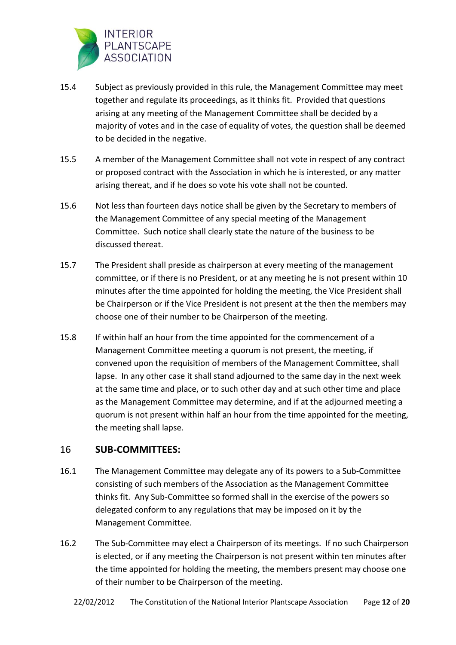

- 15.4 Subject as previously provided in this rule, the Management Committee may meet together and regulate its proceedings, as it thinks fit. Provided that questions arising at any meeting of the Management Committee shall be decided by a majority of votes and in the case of equality of votes, the question shall be deemed to be decided in the negative.
- 15.5 A member of the Management Committee shall not vote in respect of any contract or proposed contract with the Association in which he is interested, or any matter arising thereat, and if he does so vote his vote shall not be counted.
- 15.6 Not less than fourteen days notice shall be given by the Secretary to members of the Management Committee of any special meeting of the Management Committee. Such notice shall clearly state the nature of the business to be discussed thereat.
- 15.7 The President shall preside as chairperson at every meeting of the management committee, or if there is no President, or at any meeting he is not present within 10 minutes after the time appointed for holding the meeting, the Vice President shall be Chairperson or if the Vice President is not present at the then the members may choose one of their number to be Chairperson of the meeting.
- 15.8 If within half an hour from the time appointed for the commencement of a Management Committee meeting a quorum is not present, the meeting, if convened upon the requisition of members of the Management Committee, shall lapse. In any other case it shall stand adjourned to the same day in the next week at the same time and place, or to such other day and at such other time and place as the Management Committee may determine, and if at the adjourned meeting a quorum is not present within half an hour from the time appointed for the meeting, the meeting shall lapse.

#### 16 **SUB-COMMITTEES:**

- 16.1 The Management Committee may delegate any of its powers to a Sub-Committee consisting of such members of the Association as the Management Committee thinks fit. Any Sub-Committee so formed shall in the exercise of the powers so delegated conform to any regulations that may be imposed on it by the Management Committee.
- 16.2 The Sub-Committee may elect a Chairperson of its meetings. If no such Chairperson is elected, or if any meeting the Chairperson is not present within ten minutes after the time appointed for holding the meeting, the members present may choose one of their number to be Chairperson of the meeting.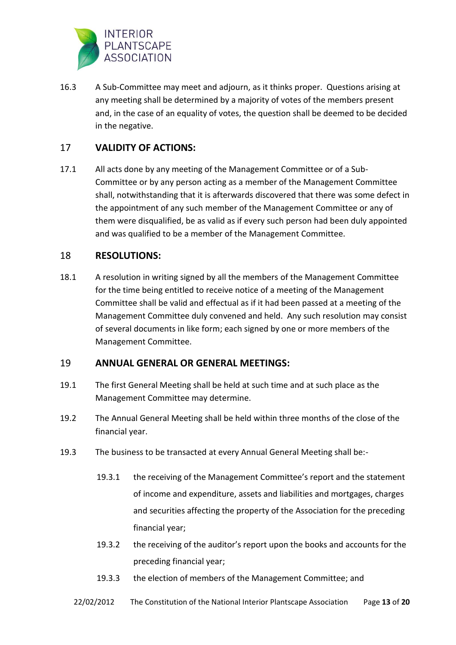

16.3 A Sub-Committee may meet and adjourn, as it thinks proper. Questions arising at any meeting shall be determined by a majority of votes of the members present and, in the case of an equality of votes, the question shall be deemed to be decided in the negative.

## 17 **VALIDITY OF ACTIONS:**

17.1 All acts done by any meeting of the Management Committee or of a Sub-Committee or by any person acting as a member of the Management Committee shall, notwithstanding that it is afterwards discovered that there was some defect in the appointment of any such member of the Management Committee or any of them were disqualified, be as valid as if every such person had been duly appointed and was qualified to be a member of the Management Committee.

## 18 **RESOLUTIONS:**

18.1 A resolution in writing signed by all the members of the Management Committee for the time being entitled to receive notice of a meeting of the Management Committee shall be valid and effectual as if it had been passed at a meeting of the Management Committee duly convened and held. Any such resolution may consist of several documents in like form; each signed by one or more members of the Management Committee.

#### 19 **ANNUAL GENERAL OR GENERAL MEETINGS:**

- 19.1 The first General Meeting shall be held at such time and at such place as the Management Committee may determine.
- 19.2 The Annual General Meeting shall be held within three months of the close of the financial year.
- 19.3 The business to be transacted at every Annual General Meeting shall be:-
	- 19.3.1 the receiving of the Management Committee's report and the statement of income and expenditure, assets and liabilities and mortgages, charges and securities affecting the property of the Association for the preceding financial year;
	- 19.3.2 the receiving of the auditor's report upon the books and accounts for the preceding financial year;
	- 19.3.3 the election of members of the Management Committee; and
	- 22/02/2012 The Constitution of the National Interior Plantscape Association Page **13** of **20**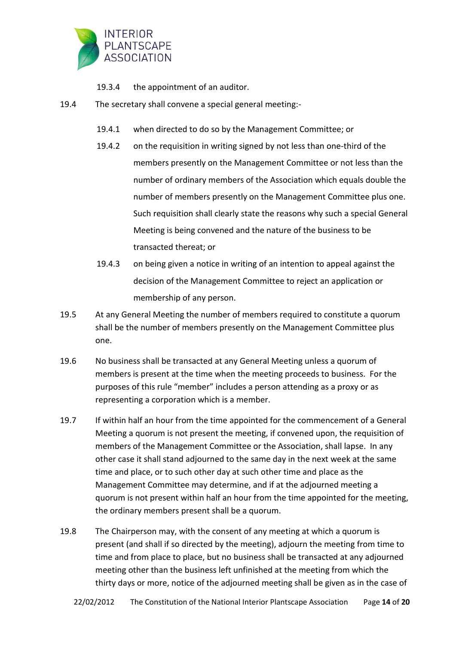

- 19.3.4 the appointment of an auditor.
- 19.4 The secretary shall convene a special general meeting:-
	- 19.4.1 when directed to do so by the Management Committee; or
	- 19.4.2 on the requisition in writing signed by not less than one-third of the members presently on the Management Committee or not less than the number of ordinary members of the Association which equals double the number of members presently on the Management Committee plus one. Such requisition shall clearly state the reasons why such a special General Meeting is being convened and the nature of the business to be transacted thereat; or
	- 19.4.3 on being given a notice in writing of an intention to appeal against the decision of the Management Committee to reject an application or membership of any person.
- 19.5 At any General Meeting the number of members required to constitute a quorum shall be the number of members presently on the Management Committee plus one.
- 19.6 No business shall be transacted at any General Meeting unless a quorum of members is present at the time when the meeting proceeds to business. For the purposes of this rule "member" includes a person attending as a proxy or as representing a corporation which is a member.
- 19.7 If within half an hour from the time appointed for the commencement of a General Meeting a quorum is not present the meeting, if convened upon, the requisition of members of the Management Committee or the Association, shall lapse. In any other case it shall stand adjourned to the same day in the next week at the same time and place, or to such other day at such other time and place as the Management Committee may determine, and if at the adjourned meeting a quorum is not present within half an hour from the time appointed for the meeting, the ordinary members present shall be a quorum.
- 19.8 The Chairperson may, with the consent of any meeting at which a quorum is present (and shall if so directed by the meeting), adjourn the meeting from time to time and from place to place, but no business shall be transacted at any adjourned meeting other than the business left unfinished at the meeting from which the thirty days or more, notice of the adjourned meeting shall be given as in the case of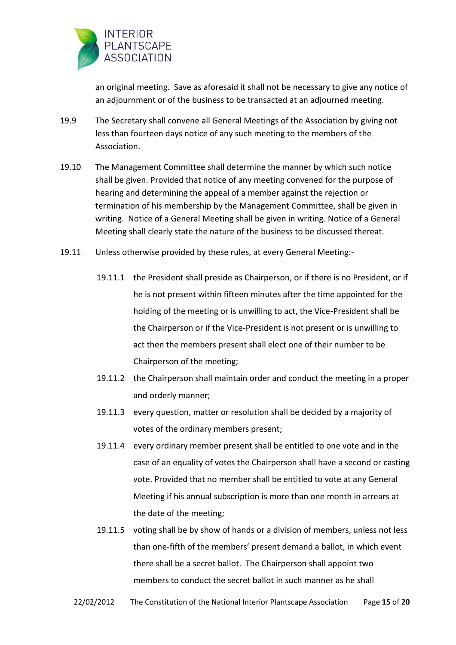

an original meeting. Save as aforesaid it shall not be necessary to give any notice of an adjournment or of the business to be transacted at an adjourned meeting.

- 19.9 The Secretary shall convene all General Meetings of the Association by giving not less than fourteen days notice of any such meeting to the members of the Association.
- 19.10 The Management Committee shall determine the manner by which such notice shall be given. Provided that notice of any meeting convened for the purpose of hearing and determining the appeal of a member against the rejection or termination of his membership by the Management Committee, shall be given in writing. Notice of a General Meeting shall be given in writing. Notice of a General Meeting shall clearly state the nature of the business to be discussed thereat.
- 19.11 Unless otherwise provided by these rules, at every General Meeting:-
	- 19.11.1 the President shall preside as Chairperson, or if there is no President, or if he is not present within fifteen minutes after the time appointed for the holding of the meeting or is unwilling to act, the Vice-President shall be the Chairperson or if the Vice-President is not present or is unwilling to act then the members present shall elect one of their number to be Chairperson of the meeting;
	- 19.11.2 the Chairperson shall maintain order and conduct the meeting in a proper and orderly manner;
	- 19.11.3 every question, matter or resolution shall be decided by a majority of votes of the ordinary members present;
	- 19.11.4 every ordinary member present shall be entitled to one vote and in the case of an equality of votes the Chairperson shall have a second or casting vote. Provided that no member shall be entitled to vote at any General Meeting if his annual subscription is more than one month in arrears at the date of the meeting;
	- 19.11.5 voting shall be by show of hands or a division of members, unless not less than one-fifth of the members' present demand a ballot, in which event there shall be a secret ballot. The Chairperson shall appoint two members to conduct the secret ballot in such manner as he shall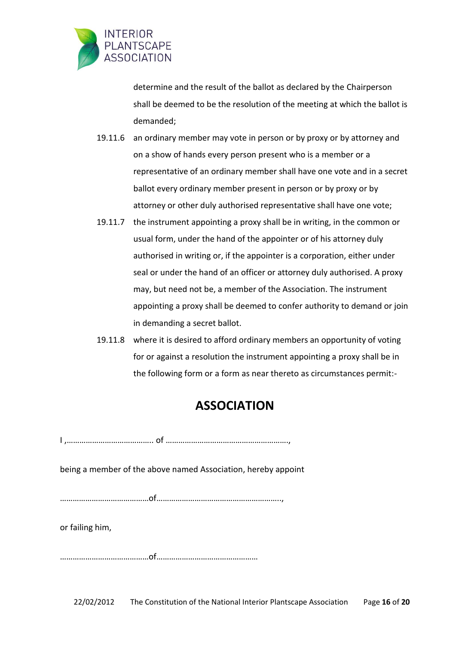

determine and the result of the ballot as declared by the Chairperson shall be deemed to be the resolution of the meeting at which the ballot is demanded;

- 19.11.6 an ordinary member may vote in person or by proxy or by attorney and on a show of hands every person present who is a member or a representative of an ordinary member shall have one vote and in a secret ballot every ordinary member present in person or by proxy or by attorney or other duly authorised representative shall have one vote;
- 19.11.7 the instrument appointing a proxy shall be in writing, in the common or usual form, under the hand of the appointer or of his attorney duly authorised in writing or, if the appointer is a corporation, either under seal or under the hand of an officer or attorney duly authorised. A proxy may, but need not be, a member of the Association. The instrument appointing a proxy shall be deemed to confer authority to demand or join in demanding a secret ballot.
- 19.11.8 where it is desired to afford ordinary members an opportunity of voting for or against a resolution the instrument appointing a proxy shall be in the following form or a form as near thereto as circumstances permit:-

# **ASSOCIATION**

I ,………………………………….. of ………………………………………………….,

being a member of the above named Association, hereby appoint

……………………………………of…………………………………………………..,

or failing him,

……………………………………of…………………………………………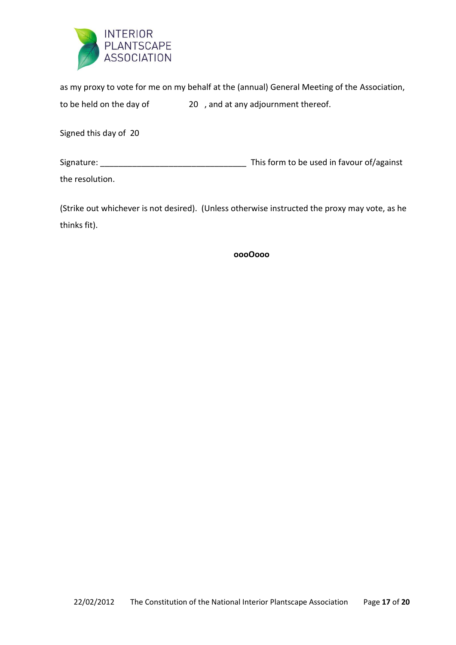

as my proxy to vote for me on my behalf at the (annual) General Meeting of the Association, to be held on the day of 20 , and at any adjournment thereof.

Signed this day of 20

Signature: \_\_\_\_\_\_\_\_\_\_\_\_\_\_\_\_\_\_\_\_\_\_\_\_\_\_\_\_\_\_\_\_ This form to be used in favour of/against

the resolution.

(Strike out whichever is not desired). (Unless otherwise instructed the proxy may vote, as he thinks fit).

**oooOooo**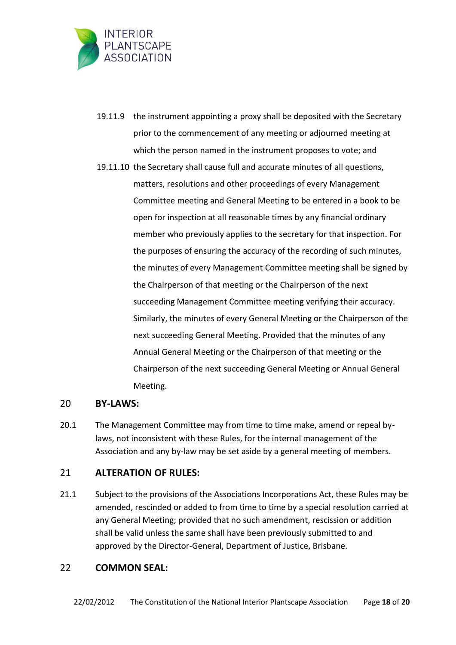

- 19.11.9 the instrument appointing a proxy shall be deposited with the Secretary prior to the commencement of any meeting or adjourned meeting at which the person named in the instrument proposes to vote; and
- 19.11.10 the Secretary shall cause full and accurate minutes of all questions, matters, resolutions and other proceedings of every Management Committee meeting and General Meeting to be entered in a book to be open for inspection at all reasonable times by any financial ordinary member who previously applies to the secretary for that inspection. For the purposes of ensuring the accuracy of the recording of such minutes, the minutes of every Management Committee meeting shall be signed by the Chairperson of that meeting or the Chairperson of the next succeeding Management Committee meeting verifying their accuracy. Similarly, the minutes of every General Meeting or the Chairperson of the next succeeding General Meeting. Provided that the minutes of any Annual General Meeting or the Chairperson of that meeting or the Chairperson of the next succeeding General Meeting or Annual General Meeting.

#### 20 **BY-LAWS:**

20.1 The Management Committee may from time to time make, amend or repeal bylaws, not inconsistent with these Rules, for the internal management of the Association and any by-law may be set aside by a general meeting of members.

#### 21 **ALTERATION OF RULES:**

21.1 Subject to the provisions of the Associations Incorporations Act, these Rules may be amended, rescinded or added to from time to time by a special resolution carried at any General Meeting; provided that no such amendment, rescission or addition shall be valid unless the same shall have been previously submitted to and approved by the Director-General, Department of Justice, Brisbane.

#### 22 **COMMON SEAL:**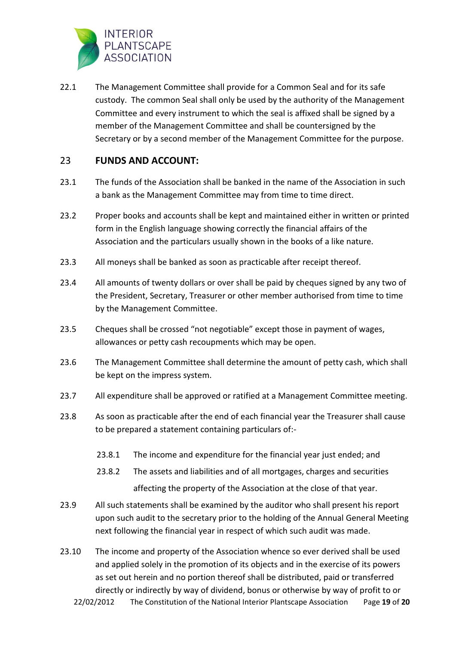

22.1 The Management Committee shall provide for a Common Seal and for its safe custody. The common Seal shall only be used by the authority of the Management Committee and every instrument to which the seal is affixed shall be signed by a member of the Management Committee and shall be countersigned by the Secretary or by a second member of the Management Committee for the purpose.

## 23 **FUNDS AND ACCOUNT:**

- 23.1 The funds of the Association shall be banked in the name of the Association in such a bank as the Management Committee may from time to time direct.
- 23.2 Proper books and accounts shall be kept and maintained either in written or printed form in the English language showing correctly the financial affairs of the Association and the particulars usually shown in the books of a like nature.
- 23.3 All moneys shall be banked as soon as practicable after receipt thereof.
- 23.4 All amounts of twenty dollars or over shall be paid by cheques signed by any two of the President, Secretary, Treasurer or other member authorised from time to time by the Management Committee.
- 23.5 Cheques shall be crossed "not negotiable" except those in payment of wages, allowances or petty cash recoupments which may be open.
- 23.6 The Management Committee shall determine the amount of petty cash, which shall be kept on the impress system.
- 23.7 All expenditure shall be approved or ratified at a Management Committee meeting.
- 23.8 As soon as practicable after the end of each financial year the Treasurer shall cause to be prepared a statement containing particulars of:-
	- 23.8.1 The income and expenditure for the financial year just ended; and
	- 23.8.2 The assets and liabilities and of all mortgages, charges and securities affecting the property of the Association at the close of that year.
- 23.9 All such statements shall be examined by the auditor who shall present his report upon such audit to the secretary prior to the holding of the Annual General Meeting next following the financial year in respect of which such audit was made.
- 22/02/2012 The Constitution of the National Interior Plantscape Association Page **19** of **20** 23.10 The income and property of the Association whence so ever derived shall be used and applied solely in the promotion of its objects and in the exercise of its powers as set out herein and no portion thereof shall be distributed, paid or transferred directly or indirectly by way of dividend, bonus or otherwise by way of profit to or